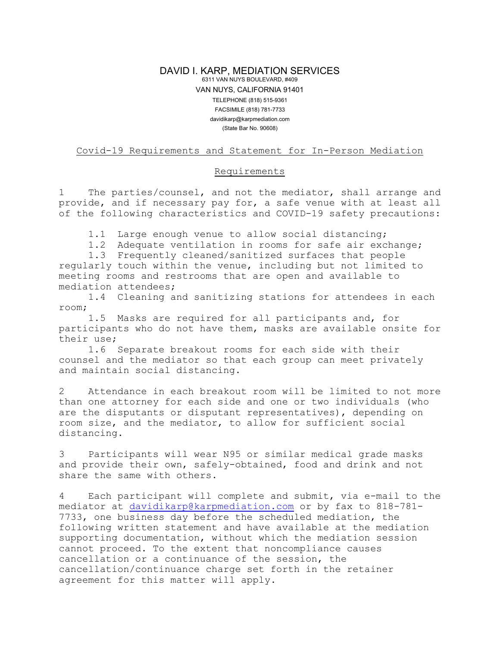## DAVID I. KARP, MEDIATION SERVICES 6311 VAN NUYS BOULEVARD, #409 VAN NUYS, CALIFORNIA 91401 TELEPHONE (818) 515-9361 FACSIMILE (818) 781-7733 davidikarp@karpmediation.com (State Bar No. 90608)

## Covid-19 Requirements and Statement for In-Person Mediation

## Requirements

1 The parties/counsel, and not the mediator, shall arrange and provide, and if necessary pay for, a safe venue with at least all of the following characteristics and COVID-19 safety precautions:

1.1 Large enough venue to allow social distancing;

1.2 Adequate ventilation in rooms for safe air exchange;

1.3 Frequently cleaned/sanitized surfaces that people regularly touch within the venue, including but not limited to meeting rooms and restrooms that are open and available to mediation attendees;

1.4 Cleaning and sanitizing stations for attendees in each room;

1.5 Masks are required for all participants and, for participants who do not have them, masks are available onsite for their use;

1.6 Separate breakout rooms for each side with their counsel and the mediator so that each group can meet privately and maintain social distancing.

2 Attendance in each breakout room will be limited to not more than one attorney for each side and one or two individuals (who are the disputants or disputant representatives), depending on room size, and the mediator, to allow for sufficient social distancing.

3 Participants will wear N95 or similar medical grade masks and provide their own, safely-obtained, food and drink and not share the same with others.

4 Each participant will complete and submit, via e-mail to the mediator at [davidikarp@karpmediation.com](mailto:davidikarp@karpmediation.com) or by fax to 818-781- 7733, one business day before the scheduled mediation, the following written statement and have available at the mediation supporting documentation, without which the mediation session cannot proceed. To the extent that noncompliance causes cancellation or a continuance of the session, the cancellation/continuance charge set forth in the retainer agreement for this matter will apply.